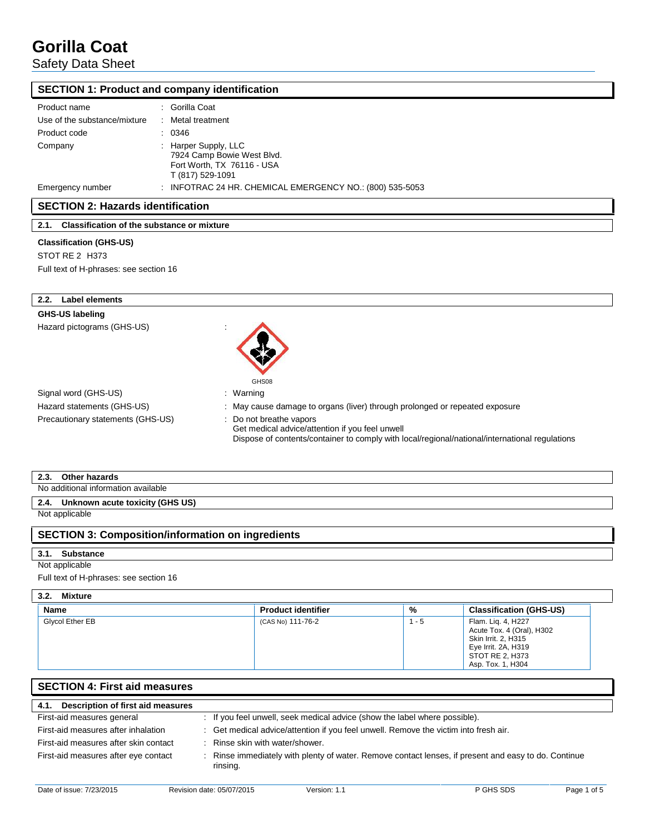Safety Data Sheet

## **SECTION 1: Product and company identification**

| Product name                 | : Gorilla Coat                                                                                       |
|------------------------------|------------------------------------------------------------------------------------------------------|
| Use of the substance/mixture | : Metal treatment                                                                                    |
| Product code                 | : 0346                                                                                               |
| Company                      | : Harper Supply, LLC<br>7924 Camp Bowie West Blvd.<br>Fort Worth, TX 76116 - USA<br>T (817) 529-1091 |
| Emergency number             | : INFOTRAC 24 HR. CHEMICAL EMERGENCY NO.: $(800)$ 535-5053                                           |

## **SECTION 2: Hazards identification**

**2.1. Classification of the substance or mixture**

## **Classification (GHS-US)**

STOT RE 2 H373

| Full text of H-phrases: see section 16 |  |
|----------------------------------------|--|
|----------------------------------------|--|

| <b>Label elements</b><br>2.2.     |                                                                                                                                                                              |
|-----------------------------------|------------------------------------------------------------------------------------------------------------------------------------------------------------------------------|
| GHS-US labeling                   |                                                                                                                                                                              |
| Hazard pictograms (GHS-US)        | $\overline{\phantom{a}}$<br>GHS08                                                                                                                                            |
| Signal word (GHS-US)              | : Warning                                                                                                                                                                    |
| Hazard statements (GHS-US)        | : May cause damage to organs (liver) through prolonged or repeated exposure                                                                                                  |
| Precautionary statements (GHS-US) | : Do not breathe vapors<br>Get medical advice/attention if you feel unwell<br>Dispose of contents/container to comply with local/regional/national/international regulations |

| <b></b><br><b>.</b> | na.<br>arus                            |
|---------------------|----------------------------------------|
| NI∩                 | ılable<br>l information avai<br>itiona |

## **2.4. Unknown acute toxicity (GHS US)**

Not applicable

## **SECTION 3: Composition/information on ingredients**

### **3.1. Substance**

### Not applicable

Full text of H-phrases: see section 16

### **3.2. Mixture**

| <b>Name</b>     | <b>Product identifier</b> | %   | <b>Classification (GHS-US)</b>                                                                                                        |
|-----------------|---------------------------|-----|---------------------------------------------------------------------------------------------------------------------------------------|
| Glycol Ether EB | (CAS No) 111-76-2         | - 5 | Flam. Liq. 4, H227<br>Acute Tox. 4 (Oral), H302<br>Skin Irrit. 2, H315<br>Eye Irrit. 2A, H319<br>STOT RE 2, H373<br>Asp. Tox. 1, H304 |

| <b>SECTION 4: First aid measures</b>      |  |                                                                                                                |  |  |
|-------------------------------------------|--|----------------------------------------------------------------------------------------------------------------|--|--|
| Description of first aid measures<br>4.1. |  |                                                                                                                |  |  |
| First-aid measures general                |  | : If you feel unwell, seek medical advice (show the label where possible).                                     |  |  |
| First-aid measures after inhalation       |  | : Get medical advice/attention if you feel unwell. Remove the victim into fresh air.                           |  |  |
| First-aid measures after skin contact     |  | : Rinse skin with water/shower.                                                                                |  |  |
| First-aid measures after eye contact      |  | Rinse immediately with plenty of water. Remove contact lenses, if present and easy to do. Continue<br>rinsing. |  |  |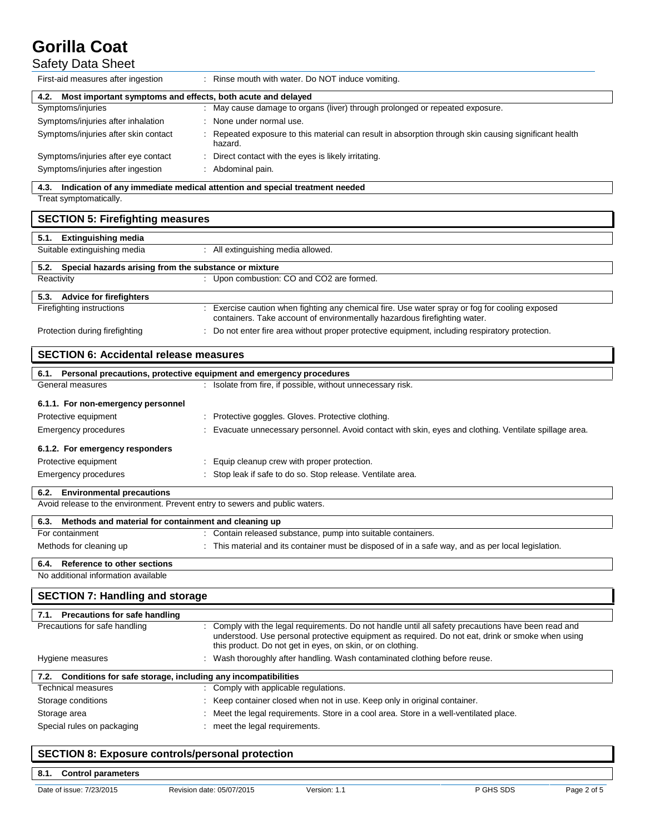# Safety Data Sheet

| First-aid measures after ingestion                                                                             | Rinse mouth with water. Do NOT induce vomiting.                                                                                                                                                                                                                     |  |  |  |  |
|----------------------------------------------------------------------------------------------------------------|---------------------------------------------------------------------------------------------------------------------------------------------------------------------------------------------------------------------------------------------------------------------|--|--|--|--|
| 4.2. Most important symptoms and effects, both acute and delayed                                               |                                                                                                                                                                                                                                                                     |  |  |  |  |
| Symptoms/injuries                                                                                              | : May cause damage to organs (liver) through prolonged or repeated exposure.                                                                                                                                                                                        |  |  |  |  |
| Symptoms/injuries after inhalation                                                                             | None under normal use.                                                                                                                                                                                                                                              |  |  |  |  |
| Symptoms/injuries after skin contact                                                                           | Repeated exposure to this material can result in absorption through skin causing significant health<br>hazard.                                                                                                                                                      |  |  |  |  |
| Symptoms/injuries after eye contact                                                                            | Direct contact with the eyes is likely irritating.                                                                                                                                                                                                                  |  |  |  |  |
| Symptoms/injuries after ingestion                                                                              | : Abdominal pain.                                                                                                                                                                                                                                                   |  |  |  |  |
| 4.3. Indication of any immediate medical attention and special treatment needed                                |                                                                                                                                                                                                                                                                     |  |  |  |  |
| Treat symptomatically.                                                                                         |                                                                                                                                                                                                                                                                     |  |  |  |  |
| <b>SECTION 5: Firefighting measures</b>                                                                        |                                                                                                                                                                                                                                                                     |  |  |  |  |
| 5.1. Extinguishing media                                                                                       |                                                                                                                                                                                                                                                                     |  |  |  |  |
| Suitable extinguishing media                                                                                   | : All extinguishing media allowed.                                                                                                                                                                                                                                  |  |  |  |  |
| Special hazards arising from the substance or mixture<br>5.2.                                                  |                                                                                                                                                                                                                                                                     |  |  |  |  |
| Reactivity                                                                                                     | : Upon combustion: CO and CO2 are formed.                                                                                                                                                                                                                           |  |  |  |  |
| 5.3. Advice for firefighters                                                                                   |                                                                                                                                                                                                                                                                     |  |  |  |  |
| Firefighting instructions                                                                                      | : Exercise caution when fighting any chemical fire. Use water spray or fog for cooling exposed                                                                                                                                                                      |  |  |  |  |
| Protection during firefighting                                                                                 | containers. Take account of environmentally hazardous firefighting water.<br>Do not enter fire area without proper protective equipment, including respiratory protection.                                                                                          |  |  |  |  |
|                                                                                                                |                                                                                                                                                                                                                                                                     |  |  |  |  |
| <b>SECTION 6: Accidental release measures</b>                                                                  |                                                                                                                                                                                                                                                                     |  |  |  |  |
| 6.1. Personal precautions, protective equipment and emergency procedures                                       |                                                                                                                                                                                                                                                                     |  |  |  |  |
| General measures                                                                                               | : Isolate from fire, if possible, without unnecessary risk.                                                                                                                                                                                                         |  |  |  |  |
| 6.1.1. For non-emergency personnel                                                                             |                                                                                                                                                                                                                                                                     |  |  |  |  |
| Protective equipment                                                                                           | : Protective goggles. Gloves. Protective clothing.                                                                                                                                                                                                                  |  |  |  |  |
| <b>Emergency procedures</b>                                                                                    | Evacuate unnecessary personnel. Avoid contact with skin, eyes and clothing. Ventilate spillage area.                                                                                                                                                                |  |  |  |  |
| 6.1.2. For emergency responders                                                                                |                                                                                                                                                                                                                                                                     |  |  |  |  |
| Protective equipment                                                                                           | Equip cleanup crew with proper protection.                                                                                                                                                                                                                          |  |  |  |  |
| <b>Emergency procedures</b>                                                                                    | : Stop leak if safe to do so. Stop release. Ventilate area.                                                                                                                                                                                                         |  |  |  |  |
|                                                                                                                |                                                                                                                                                                                                                                                                     |  |  |  |  |
| 6.2. Environmental precautions<br>Avoid release to the environment. Prevent entry to sewers and public waters. |                                                                                                                                                                                                                                                                     |  |  |  |  |
|                                                                                                                |                                                                                                                                                                                                                                                                     |  |  |  |  |
| 6.3. Methods and material for containment and cleaning up                                                      |                                                                                                                                                                                                                                                                     |  |  |  |  |
| For containment                                                                                                | : Contain released substance, pump into suitable containers.                                                                                                                                                                                                        |  |  |  |  |
| Methods for cleaning up                                                                                        | This material and its container must be disposed of in a safe way, and as per local legislation.                                                                                                                                                                    |  |  |  |  |
| Reference to other sections<br>6.4.                                                                            |                                                                                                                                                                                                                                                                     |  |  |  |  |
| No additional information available                                                                            |                                                                                                                                                                                                                                                                     |  |  |  |  |
| <b>SECTION 7: Handling and storage</b>                                                                         |                                                                                                                                                                                                                                                                     |  |  |  |  |
| 7.1. Precautions for safe handling                                                                             |                                                                                                                                                                                                                                                                     |  |  |  |  |
| Precautions for safe handling                                                                                  | Comply with the legal requirements. Do not handle until all safety precautions have been read and<br>understood. Use personal protective equipment as required. Do not eat, drink or smoke when using<br>this product. Do not get in eyes, on skin, or on clothing. |  |  |  |  |
| Hygiene measures                                                                                               | : Wash thoroughly after handling. Wash contaminated clothing before reuse.                                                                                                                                                                                          |  |  |  |  |
| Conditions for safe storage, including any incompatibilities<br>7.2.                                           |                                                                                                                                                                                                                                                                     |  |  |  |  |
| <b>Technical measures</b>                                                                                      | : Comply with applicable regulations.                                                                                                                                                                                                                               |  |  |  |  |
| Storage conditions                                                                                             | Keep container closed when not in use. Keep only in original container.                                                                                                                                                                                             |  |  |  |  |
| Storage area                                                                                                   | Meet the legal requirements. Store in a cool area. Store in a well-ventilated place.                                                                                                                                                                                |  |  |  |  |
| Special rules on packaging                                                                                     | meet the legal requirements.                                                                                                                                                                                                                                        |  |  |  |  |
|                                                                                                                |                                                                                                                                                                                                                                                                     |  |  |  |  |

## **SECTION 8: Exposure controls/personal protection**

**8.1. Control parameters**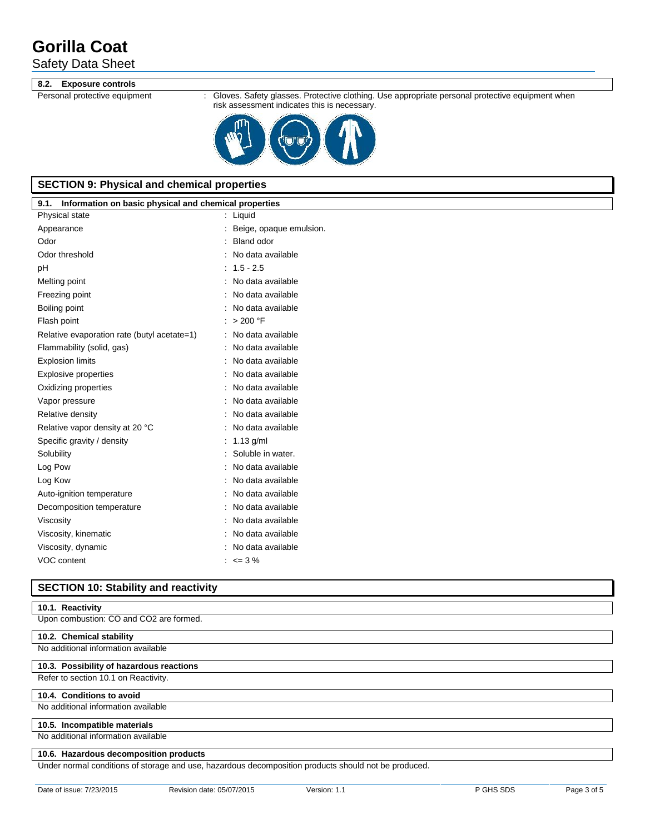## Safety Data Sheet

### **8.2. Exposure controls**

Personal protective equipment : Gloves. Safety glasses. Protective clothing. Use appropriate personal protective equipment when risk assessment indicates this is necessary.



## **SECTION 9: Physical and chemical properties**

| 9.1.<br>Information on basic physical and chemical properties |                         |  |  |  |  |  |
|---------------------------------------------------------------|-------------------------|--|--|--|--|--|
| Physical state                                                | Liquid                  |  |  |  |  |  |
| Appearance                                                    | Beige, opaque emulsion. |  |  |  |  |  |
| Odor                                                          | <b>Bland odor</b>       |  |  |  |  |  |
| Odor threshold                                                | No data available       |  |  |  |  |  |
| рH                                                            | $1.5 - 2.5$             |  |  |  |  |  |
| Melting point                                                 | No data available       |  |  |  |  |  |
| Freezing point                                                | No data available       |  |  |  |  |  |
| Boiling point                                                 | No data available       |  |  |  |  |  |
| Flash point                                                   | > 200 °F                |  |  |  |  |  |
| Relative evaporation rate (butyl acetate=1)                   | No data available       |  |  |  |  |  |
| Flammability (solid, gas)                                     | No data available       |  |  |  |  |  |
| <b>Explosion limits</b>                                       | No data available       |  |  |  |  |  |
| <b>Explosive properties</b>                                   | No data available       |  |  |  |  |  |
| Oxidizing properties                                          | No data available       |  |  |  |  |  |
| Vapor pressure                                                | No data available       |  |  |  |  |  |
| Relative density                                              | No data available       |  |  |  |  |  |
| Relative vapor density at 20 °C                               | No data available       |  |  |  |  |  |
| Specific gravity / density                                    | $1.13$ g/ml             |  |  |  |  |  |
| Solubility                                                    | Soluble in water.       |  |  |  |  |  |
| Log Pow                                                       | No data available       |  |  |  |  |  |
| Log Kow                                                       | No data available       |  |  |  |  |  |
| Auto-ignition temperature                                     | No data available       |  |  |  |  |  |
| Decomposition temperature                                     | No data available       |  |  |  |  |  |
| Viscosity                                                     | No data available       |  |  |  |  |  |
| Viscosity, kinematic                                          | No data available       |  |  |  |  |  |
| Viscosity, dynamic                                            | No data available       |  |  |  |  |  |
| VOC content                                                   | $\leq$ <= 3 %           |  |  |  |  |  |
|                                                               |                         |  |  |  |  |  |

## **SECTION 10: Stability and reactivity**

## **10.1. Reactivity**

Upon combustion: CO and CO2 are formed.

### **10.2. Chemical stability**

### No additional information available

## **10.3. Possibility of hazardous reactions**

Refer to section 10.1 on Reactivity.

### **10.4. Conditions to avoid**

No additional information available

#### **10.5. Incompatible materials**

No additional information available

### **10.6. Hazardous decomposition products**

Under normal conditions of storage and use, hazardous decomposition products should not be produced.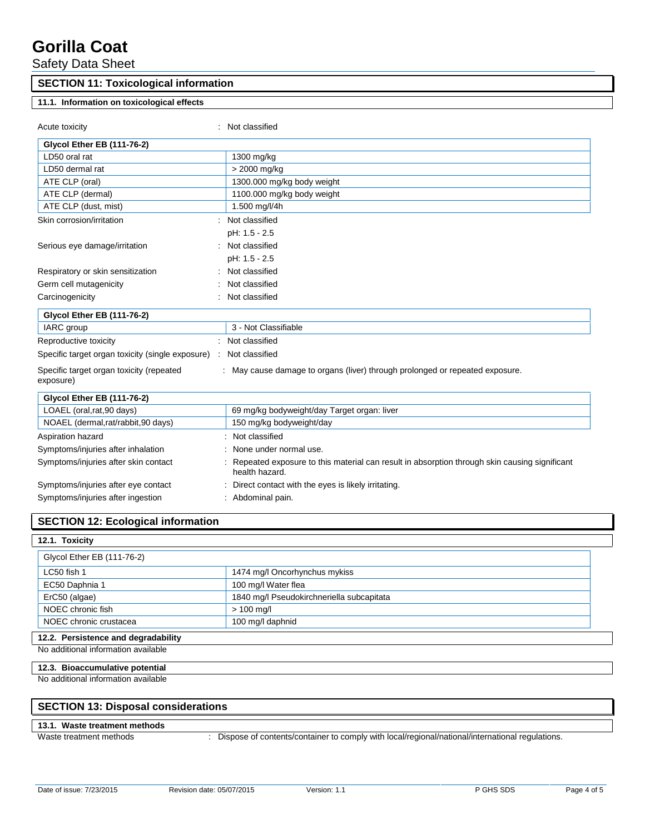Safety Data Sheet

## **SECTION 11: Toxicological information**

## **11.1. Information on toxicological effects**

| Acute toxicity                                                    | Not classified                                                                                                 |
|-------------------------------------------------------------------|----------------------------------------------------------------------------------------------------------------|
| <b>Glycol Ether EB (111-76-2)</b>                                 |                                                                                                                |
| LD50 oral rat                                                     | 1300 mg/kg                                                                                                     |
| LD50 dermal rat                                                   | > 2000 mg/kg                                                                                                   |
| ATE CLP (oral)                                                    | 1300.000 mg/kg body weight                                                                                     |
| ATE CLP (dermal)                                                  | 1100.000 mg/kg body weight                                                                                     |
| ATE CLP (dust, mist)                                              | 1.500 mg/l/4h                                                                                                  |
| Skin corrosion/irritation                                         | Not classified                                                                                                 |
|                                                                   | pH: 1.5 - 2.5                                                                                                  |
| Serious eye damage/irritation                                     | Not classified                                                                                                 |
|                                                                   | pH: 1.5 - 2.5                                                                                                  |
| Respiratory or skin sensitization                                 | Not classified                                                                                                 |
| Germ cell mutagenicity                                            | Not classified                                                                                                 |
| Carcinogenicity                                                   | Not classified                                                                                                 |
| <b>Glycol Ether EB (111-76-2)</b>                                 |                                                                                                                |
| IARC group                                                        | 3 - Not Classifiable                                                                                           |
| Reproductive toxicity                                             | Not classified                                                                                                 |
| Specific target organ toxicity (single exposure) : Not classified |                                                                                                                |
| Specific target organ toxicity (repeated<br>exposure)             | : May cause damage to organs (liver) through prolonged or repeated exposure.                                   |
| <b>Glycol Ether EB (111-76-2)</b>                                 |                                                                                                                |
| LOAEL (oral, rat, 90 days)                                        | 69 mg/kg bodyweight/day Target organ: liver                                                                    |
| NOAEL (dermal,rat/rabbit,90 days)                                 | 150 mg/kg bodyweight/day                                                                                       |
| Aspiration hazard                                                 | Not classified                                                                                                 |
| Symptoms/injuries after inhalation                                | None under normal use.                                                                                         |
| Symptoms/injuries after skin contact                              | Repeated exposure to this material can result in absorption through skin causing significant<br>health hazard. |
| Symptoms/injuries after eye contact                               | Direct contact with the eyes is likely irritating.                                                             |
| Symptoms/injuries after ingestion                                 | : Abdominal pain.                                                                                              |

## **SECTION 12: Ecological information**

### **12.1. Toxicity**

| Glycol Ether EB (111-76-2) |                                           |  |
|----------------------------|-------------------------------------------|--|
| LC50 fish 1                | 1474 mg/l Oncorhynchus mykiss             |  |
| EC50 Daphnia 1             | 100 mg/l Water flea                       |  |
| ErC50 (algae)              | 1840 mg/l Pseudokirchneriella subcapitata |  |
| NOEC chronic fish          | $> 100$ mg/l                              |  |
| NOEC chronic crustacea     | 100 mg/l daphnid                          |  |

## **12.2. Persistence and degradability**

No additional information available

## **12.3. Bioaccumulative potential**

No additional information available

## **SECTION 13: Disposal considerations**

#### **13.1. Waste treatment methods**

Waste treatment methods : Dispose of contents/container to comply with local/regional/national/international regulations.